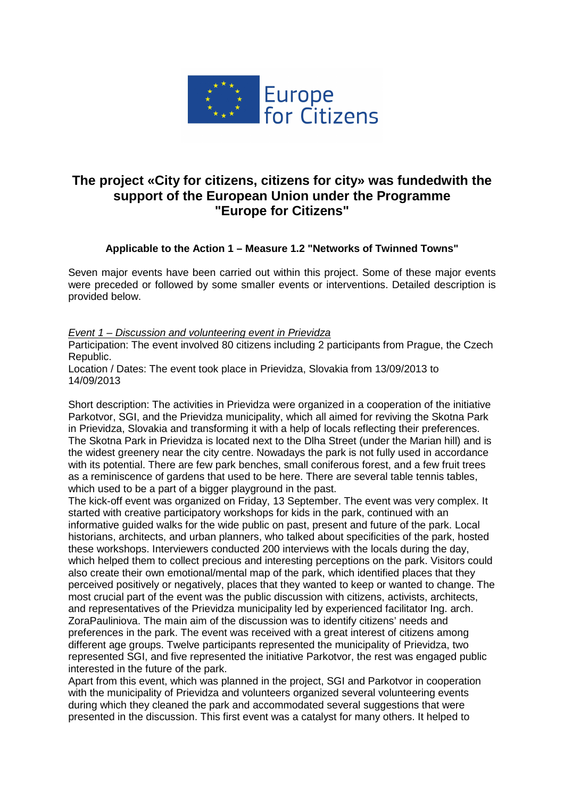

# **The project «City for citizens, citizens for city» was fundedwith the support of the European Union under the Programme "Europe for Citizens"**

# **Applicable to the Action 1 – Measure 1.2 "Networks of Twinned Towns"**

Seven major events have been carried out within this project. Some of these major events were preceded or followed by some smaller events or interventions. Detailed description is provided below.

Event 1 – Discussion and volunteering event in Prievidza

Participation: The event involved 80 citizens including 2 participants from Prague, the Czech Republic.

Location / Dates: The event took place in Prievidza, Slovakia from 13/09/2013 to 14/09/2013

Short description: The activities in Prievidza were organized in a cooperation of the initiative Parkotvor, SGI, and the Prievidza municipality, which all aimed for reviving the Skotna Park in Prievidza, Slovakia and transforming it with a help of locals reflecting their preferences. The Skotna Park in Prievidza is located next to the Dlha Street (under the Marian hill) and is the widest greenery near the city centre. Nowadays the park is not fully used in accordance with its potential. There are few park benches, small coniferous forest, and a few fruit trees as a reminiscence of gardens that used to be here. There are several table tennis tables, which used to be a part of a bigger playground in the past.

The kick-off event was organized on Friday, 13 September. The event was very complex. It started with creative participatory workshops for kids in the park, continued with an informative guided walks for the wide public on past, present and future of the park. Local historians, architects, and urban planners, who talked about specificities of the park, hosted these workshops. Interviewers conducted 200 interviews with the locals during the day, which helped them to collect precious and interesting perceptions on the park. Visitors could also create their own emotional/mental map of the park, which identified places that they perceived positively or negatively, places that they wanted to keep or wanted to change. The most crucial part of the event was the public discussion with citizens, activists, architects, and representatives of the Prievidza municipality led by experienced facilitator Ing. arch. ZoraPauliniova. The main aim of the discussion was to identify citizens' needs and preferences in the park. The event was received with a great interest of citizens among different age groups. Twelve participants represented the municipality of Prievidza, two represented SGI, and five represented the initiative Parkotvor, the rest was engaged public interested in the future of the park.

Apart from this event, which was planned in the project, SGI and Parkotvor in cooperation with the municipality of Prievidza and volunteers organized several volunteering events during which they cleaned the park and accommodated several suggestions that were presented in the discussion. This first event was a catalyst for many others. It helped to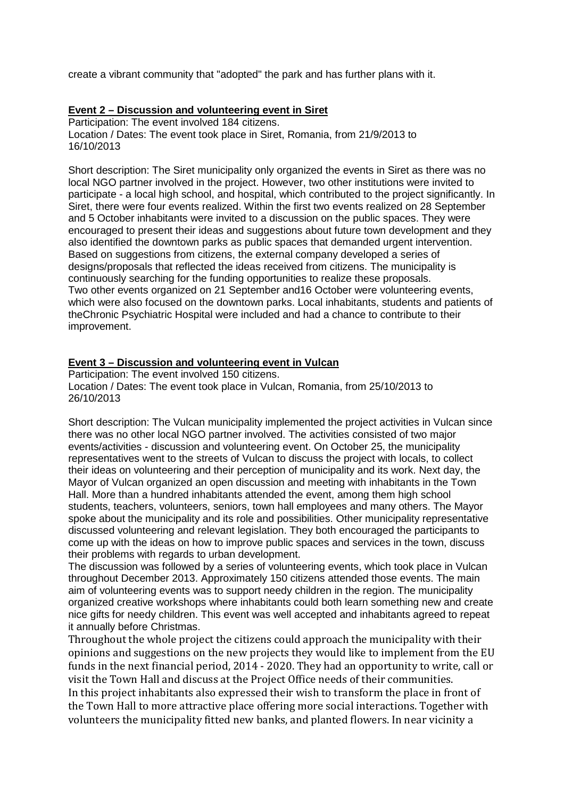create a vibrant community that "adopted" the park and has further plans with it.

#### **Event 2 – Discussion and volunteering event in Siret**

Participation: The event involved 184 citizens. Location / Dates: The event took place in Siret, Romania, from 21/9/2013 to 16/10/2013

Short description: The Siret municipality only organized the events in Siret as there was no local NGO partner involved in the project. However, two other institutions were invited to participate - a local high school, and hospital, which contributed to the project significantly. In Siret, there were four events realized. Within the first two events realized on 28 September and 5 October inhabitants were invited to a discussion on the public spaces. They were encouraged to present their ideas and suggestions about future town development and they also identified the downtown parks as public spaces that demanded urgent intervention. Based on suggestions from citizens, the external company developed a series of designs/proposals that reflected the ideas received from citizens. The municipality is continuously searching for the funding opportunities to realize these proposals. Two other events organized on 21 September and16 October were volunteering events, which were also focused on the downtown parks. Local inhabitants, students and patients of theChronic Psychiatric Hospital were included and had a chance to contribute to their improvement.

#### **Event 3 – Discussion and volunteering event in Vulcan**

Participation: The event involved 150 citizens. Location / Dates: The event took place in Vulcan, Romania, from 25/10/2013 to 26/10/2013

Short description: The Vulcan municipality implemented the project activities in Vulcan since there was no other local NGO partner involved. The activities consisted of two major events/activities - discussion and volunteering event. On October 25, the municipality representatives went to the streets of Vulcan to discuss the project with locals, to collect their ideas on volunteering and their perception of municipality and its work. Next day, the Mayor of Vulcan organized an open discussion and meeting with inhabitants in the Town Hall. More than a hundred inhabitants attended the event, among them high school students, teachers, volunteers, seniors, town hall employees and many others. The Mayor spoke about the municipality and its role and possibilities. Other municipality representative discussed volunteering and relevant legislation. They both encouraged the participants to come up with the ideas on how to improve public spaces and services in the town, discuss their problems with regards to urban development.

The discussion was followed by a series of volunteering events, which took place in Vulcan throughout December 2013. Approximately 150 citizens attended those events. The main aim of volunteering events was to support needy children in the region. The municipality organized creative workshops where inhabitants could both learn something new and create nice gifts for needy children. This event was well accepted and inhabitants agreed to repeat it annually before Christmas.

Throughout the whole project the citizens could approach the municipality with their opinions and suggestions on the new projects they would like to implement from the EU funds in the next financial period, 2014 - 2020. They had an opportunity to write, call or visit the Town Hall and discuss at the Project Office needs of their communities. In this project inhabitants also expressed their wish to transform the place in front of the Town Hall to more attractive place offering more social interactions. Together with volunteers the municipality fitted new banks, and planted flowers. In near vicinity a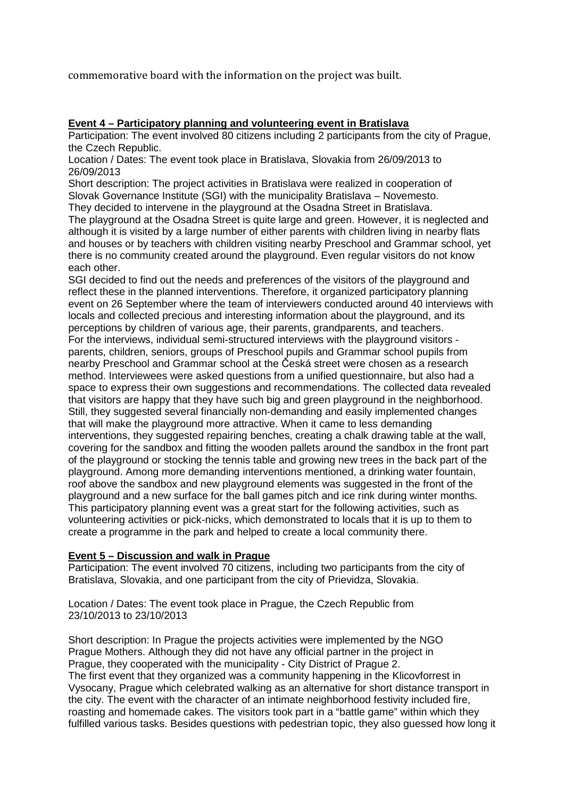commemorative board with the information on the project was built.

## **Event 4 – Participatory planning and volunteering event in Bratislava**

Participation: The event involved 80 citizens including 2 participants from the city of Prague, the Czech Republic.

Location / Dates: The event took place in Bratislava, Slovakia from 26/09/2013 to 26/09/2013

Short description: The project activities in Bratislava were realized in cooperation of Slovak Governance Institute (SGI) with the municipality Bratislava – Novemesto.

They decided to intervene in the playground at the Osadna Street in Bratislava. The playground at the Osadna Street is quite large and green. However, it is neglected and although it is visited by a large number of either parents with children living in nearby flats and houses or by teachers with children visiting nearby Preschool and Grammar school, yet there is no community created around the playground. Even regular visitors do not know each other.

SGI decided to find out the needs and preferences of the visitors of the playground and reflect these in the planned interventions. Therefore, it organized participatory planning event on 26 September where the team of interviewers conducted around 40 interviews with locals and collected precious and interesting information about the playground, and its perceptions by children of various age, their parents, grandparents, and teachers. For the interviews, individual semi-structured interviews with the playground visitors parents, children, seniors, groups of Preschool pupils and Grammar school pupils from nearby Preschool and Grammar school at the Česká street were chosen as a research method. Interviewees were asked questions from a unified questionnaire, but also had a space to express their own suggestions and recommendations. The collected data revealed that visitors are happy that they have such big and green playground in the neighborhood. Still, they suggested several financially non-demanding and easily implemented changes that will make the playground more attractive. When it came to less demanding interventions, they suggested repairing benches, creating a chalk drawing table at the wall, covering for the sandbox and fitting the wooden pallets around the sandbox in the front part of the playground or stocking the tennis table and growing new trees in the back part of the playground. Among more demanding interventions mentioned, a drinking water fountain, roof above the sandbox and new playground elements was suggested in the front of the playground and a new surface for the ball games pitch and ice rink during winter months. This participatory planning event was a great start for the following activities, such as volunteering activities or pick-nicks, which demonstrated to locals that it is up to them to create a programme in the park and helped to create a local community there.

## **Event 5 – Discussion and walk in Prague**

Participation: The event involved 70 citizens, including two participants from the city of Bratislava, Slovakia, and one participant from the city of Prievidza, Slovakia.

Location / Dates: The event took place in Prague, the Czech Republic from 23/10/2013 to 23/10/2013

Short description: In Prague the projects activities were implemented by the NGO Prague Mothers. Although they did not have any official partner in the project in Prague, they cooperated with the municipality - City District of Prague 2. The first event that they organized was a community happening in the Klicovforrest in Vysocany, Prague which celebrated walking as an alternative for short distance transport in the city. The event with the character of an intimate neighborhood festivity included fire, roasting and homemade cakes. The visitors took part in a "battle game" within which they fulfilled various tasks. Besides questions with pedestrian topic, they also guessed how long it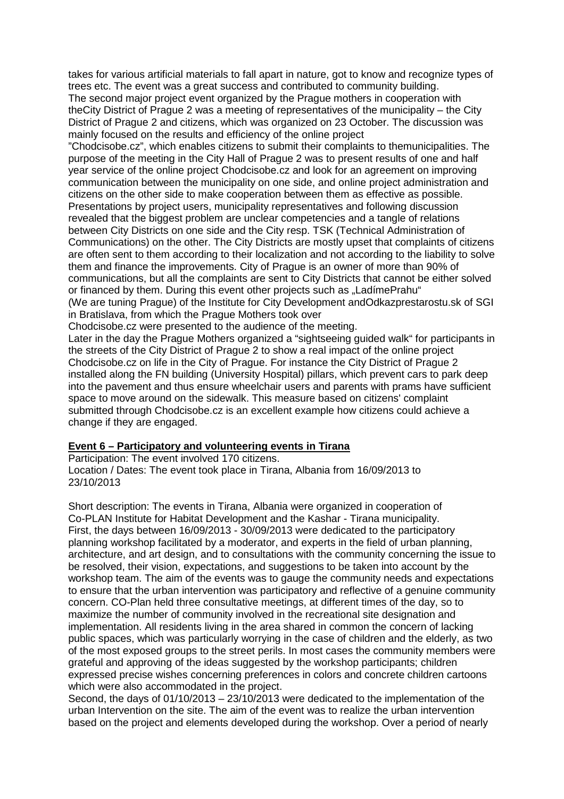takes for various artificial materials to fall apart in nature, got to know and recognize types of trees etc. The event was a great success and contributed to community building.

The second major project event organized by the Prague mothers in cooperation with theCity District of Prague 2 was a meeting of representatives of the municipality – the City District of Prague 2 and citizens, which was organized on 23 October. The discussion was mainly focused on the results and efficiency of the online project

"Chodcisobe.cz", which enables citizens to submit their complaints to themunicipalities. The purpose of the meeting in the City Hall of Prague 2 was to present results of one and half year service of the online project Chodcisobe.cz and look for an agreement on improving communication between the municipality on one side, and online project administration and citizens on the other side to make cooperation between them as effective as possible. Presentations by project users, municipality representatives and following discussion revealed that the biggest problem are unclear competencies and a tangle of relations between City Districts on one side and the City resp. TSK (Technical Administration of Communications) on the other. The City Districts are mostly upset that complaints of citizens are often sent to them according to their localization and not according to the liability to solve them and finance the improvements. City of Prague is an owner of more than 90% of communications, but all the complaints are sent to City Districts that cannot be either solved or financed by them. During this event other projects such as "LadímePrahu"

(We are tuning Prague) of the Institute for City Development andOdkazprestarostu.sk of SGI in Bratislava, from which the Prague Mothers took over

Chodcisobe.cz were presented to the audience of the meeting.

Later in the day the Prague Mothers organized a "sightseeing guided walk" for participants in the streets of the City District of Prague 2 to show a real impact of the online project Chodcisobe.cz on life in the City of Prague. For instance the City District of Prague 2 installed along the FN building (University Hospital) pillars, which prevent cars to park deep into the pavement and thus ensure wheelchair users and parents with prams have sufficient space to move around on the sidewalk. This measure based on citizens' complaint submitted through Chodcisobe.cz is an excellent example how citizens could achieve a change if they are engaged.

## **Event 6 – Participatory and volunteering events in Tirana**

Participation: The event involved 170 citizens.

Location / Dates: The event took place in Tirana, Albania from 16/09/2013 to 23/10/2013

Short description: The events in Tirana, Albania were organized in cooperation of Co-PLAN Institute for Habitat Development and the Kashar - Tirana municipality. First, the days between 16/09/2013 - 30/09/2013 were dedicated to the participatory planning workshop facilitated by a moderator, and experts in the field of urban planning, architecture, and art design, and to consultations with the community concerning the issue to be resolved, their vision, expectations, and suggestions to be taken into account by the workshop team. The aim of the events was to gauge the community needs and expectations to ensure that the urban intervention was participatory and reflective of a genuine community concern. CO-Plan held three consultative meetings, at different times of the day, so to maximize the number of community involved in the recreational site designation and implementation. All residents living in the area shared in common the concern of lacking public spaces, which was particularly worrying in the case of children and the elderly, as two of the most exposed groups to the street perils. In most cases the community members were grateful and approving of the ideas suggested by the workshop participants; children expressed precise wishes concerning preferences in colors and concrete children cartoons which were also accommodated in the project.

Second, the days of 01/10/2013 – 23/10/2013 were dedicated to the implementation of the urban Intervention on the site. The aim of the event was to realize the urban intervention based on the project and elements developed during the workshop. Over a period of nearly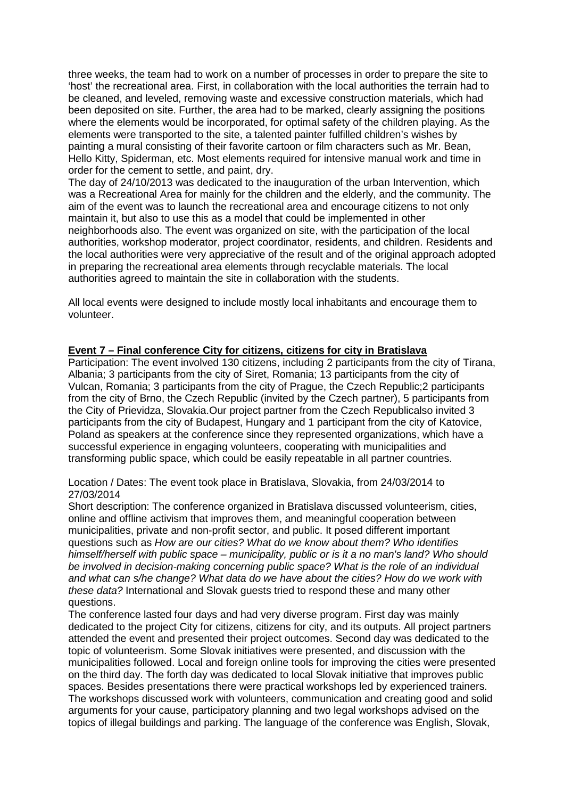three weeks, the team had to work on a number of processes in order to prepare the site to 'host' the recreational area. First, in collaboration with the local authorities the terrain had to be cleaned, and leveled, removing waste and excessive construction materials, which had been deposited on site. Further, the area had to be marked, clearly assigning the positions where the elements would be incorporated, for optimal safety of the children playing. As the elements were transported to the site, a talented painter fulfilled children's wishes by painting a mural consisting of their favorite cartoon or film characters such as Mr. Bean, Hello Kitty, Spiderman, etc. Most elements required for intensive manual work and time in order for the cement to settle, and paint, dry.

The day of 24/10/2013 was dedicated to the inauguration of the urban Intervention, which was a Recreational Area for mainly for the children and the elderly, and the community. The aim of the event was to launch the recreational area and encourage citizens to not only maintain it, but also to use this as a model that could be implemented in other neighborhoods also. The event was organized on site, with the participation of the local authorities, workshop moderator, project coordinator, residents, and children. Residents and the local authorities were very appreciative of the result and of the original approach adopted in preparing the recreational area elements through recyclable materials. The local authorities agreed to maintain the site in collaboration with the students.

All local events were designed to include mostly local inhabitants and encourage them to volunteer.

## **Event 7 – Final conference City for citizens, citizens for city in Bratislava**

Participation: The event involved 130 citizens, including 2 participants from the city of Tirana, Albania; 3 participants from the city of Siret, Romania; 13 participants from the city of Vulcan, Romania; 3 participants from the city of Prague, the Czech Republic;2 participants from the city of Brno, the Czech Republic (invited by the Czech partner), 5 participants from the City of Prievidza, Slovakia.Our project partner from the Czech Republicalso invited 3 participants from the city of Budapest, Hungary and 1 participant from the city of Katovice, Poland as speakers at the conference since they represented organizations, which have a successful experience in engaging volunteers, cooperating with municipalities and transforming public space, which could be easily repeatable in all partner countries.

Location / Dates: The event took place in Bratislava, Slovakia, from 24/03/2014 to 27/03/2014

Short description: The conference organized in Bratislava discussed volunteerism, cities, online and offline activism that improves them, and meaningful cooperation between municipalities, private and non-profit sector, and public. It posed different important questions such as How are our cities? What do we know about them? Who identifies himself/herself with public space – municipality, public or is it a no man's land? Who should be involved in decision-making concerning public space? What is the role of an individual and what can s/he change? What data do we have about the cities? How do we work with these data? International and Slovak guests tried to respond these and many other questions.

The conference lasted four days and had very diverse program. First day was mainly dedicated to the project City for citizens, citizens for city, and its outputs. All project partners attended the event and presented their project outcomes. Second day was dedicated to the topic of volunteerism. Some Slovak initiatives were presented, and discussion with the municipalities followed. Local and foreign online tools for improving the cities were presented on the third day. The forth day was dedicated to local Slovak initiative that improves public spaces. Besides presentations there were practical workshops led by experienced trainers. The workshops discussed work with volunteers, communication and creating good and solid arguments for your cause, participatory planning and two legal workshops advised on the topics of illegal buildings and parking. The language of the conference was English, Slovak,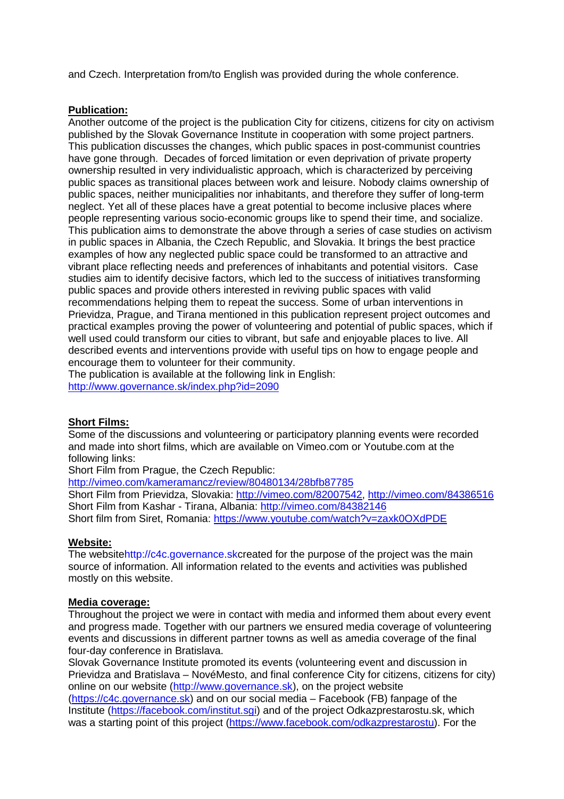and Czech. Interpretation from/to English was provided during the whole conference.

#### **Publication:**

Another outcome of the project is the publication City for citizens, citizens for city on activism published by the Slovak Governance Institute in cooperation with some project partners. This publication discusses the changes, which public spaces in post-communist countries have gone through. Decades of forced limitation or even deprivation of private property ownership resulted in very individualistic approach, which is characterized by perceiving public spaces as transitional places between work and leisure. Nobody claims ownership of public spaces, neither municipalities nor inhabitants, and therefore they suffer of long-term neglect. Yet all of these places have a great potential to become inclusive places where people representing various socio-economic groups like to spend their time, and socialize. This publication aims to demonstrate the above through a series of case studies on activism in public spaces in Albania, the Czech Republic, and Slovakia. It brings the best practice examples of how any neglected public space could be transformed to an attractive and vibrant place reflecting needs and preferences of inhabitants and potential visitors. Case studies aim to identify decisive factors, which led to the success of initiatives transforming public spaces and provide others interested in reviving public spaces with valid recommendations helping them to repeat the success. Some of urban interventions in Prievidza, Prague, and Tirana mentioned in this publication represent project outcomes and practical examples proving the power of volunteering and potential of public spaces, which if well used could transform our cities to vibrant, but safe and enjoyable places to live. All described events and interventions provide with useful tips on how to engage people and encourage them to volunteer for their community.

The publication is available at the following link in English: http://www.governance.sk/index.php?id=2090

## **Short Films:**

Some of the discussions and volunteering or participatory planning events were recorded and made into short films, which are available on Vimeo.com or Youtube.com at the following links:

Short Film from Prague, the Czech Republic:

http://vimeo.com/kameramancz/review/80480134/28bfb87785

Short Film from Prievidza, Slovakia: http://vimeo.com/82007542, http://vimeo.com/84386516 Short Film from Kashar - Tirana, Albania: http://vimeo.com/84382146 Short film from Siret, Romania: https://www.youtube.com/watch?v=zaxk0OXdPDE

#### **Website:**

The websitehttp://c4c.governance.skcreated for the purpose of the project was the main source of information. All information related to the events and activities was published mostly on this website.

#### **Media coverage:**

Throughout the project we were in contact with media and informed them about every event and progress made. Together with our partners we ensured media coverage of volunteering events and discussions in different partner towns as well as amedia coverage of the final four-day conference in Bratislava.

Slovak Governance Institute promoted its events (volunteering event and discussion in Prievidza and Bratislava – NovéMesto, and final conference City for citizens, citizens for city) online on our website (http://www.governance.sk), on the project website (https://c4c.governance.sk) and on our social media – Facebook (FB) fanpage of the Institute (https://facebook.com/institut.sgi) and of the project Odkazprestarostu.sk, which was a starting point of this project (https://www.facebook.com/odkazprestarostu). For the